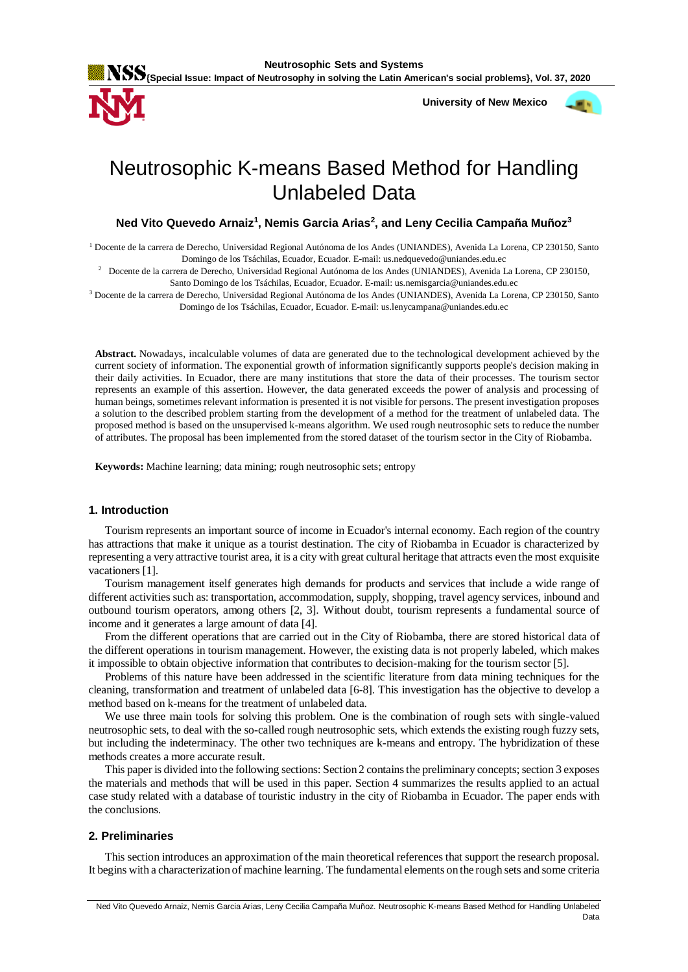

 **University of New Mexico**



# Neutrosophic K-means Based Method for Handling Unlabeled Data

# **Ned Vito Quevedo Arnaiz<sup>1</sup> , Nemis Garcia Arias<sup>2</sup> , and Leny Cecilia Campaña Muñoz<sup>3</sup>**

<sup>1</sup> Docente de la carrera de Derecho, Universidad Regional Autónoma de los Andes (UNIANDES), Avenida La Lorena, CP 230150, Santo Domingo de los Tsáchilas, Ecuador, Ecuador. E-mail: us.nedquevedo@uniandes.edu.ec

2 Docente de la carrera de Derecho, Universidad Regional Autónoma de los Andes (UNIANDES), Avenida La Lorena, CP 230150, Santo Domingo de los Tsáchilas, Ecuador, Ecuador. E-mail: us.nemisgarcia@uniandes.edu.ec

<sup>3</sup> Docente de la carrera de Derecho, Universidad Regional Autónoma de los Andes (UNIANDES), Avenida La Lorena, CP 230150, Santo Domingo de los Tsáchilas, Ecuador, Ecuador. E-mail: us.lenycampana@uniandes.edu.ec

**Abstract.** Nowadays, incalculable volumes of data are generated due to the technological development achieved by the current society of information. The exponential growth of information significantly supports people's decision making in their daily activities. In Ecuador, there are many institutions that store the data of their processes. The tourism sector represents an example of this assertion. However, the data generated exceeds the power of analysis and processing of human beings, sometimes relevant information is presented it is not visible for persons. The present investigation proposes a solution to the described problem starting from the development of a method for the treatment of unlabeled data. The proposed method is based on the unsupervised k-means algorithm. We used rough neutrosophic sets to reduce the number of attributes. The proposal has been implemented from the stored dataset of the tourism sector in the City of Riobamba.

**Keywords:** Machine learning; data mining; rough neutrosophic sets; entropy

## **1. Introduction**

Tourism represents an important source of income in Ecuador's internal economy. Each region of the country has attractions that make it unique as a tourist destination. The city of Riobamba in Ecuador is characterized by representing a very attractive tourist area, it is a city with great cultural heritage that attracts even the most exquisite vacationers [\[1\]](#page-6-0).

Tourism management itself generates high demands for products and services that include a wide range of different activities such as: transportation, accommodation, supply, shopping, travel agency services, inbound and outbound tourism operators, among others [\[2,](#page-6-1) [3\]](#page-6-2). Without doubt, tourism represents a fundamental source of income and it generates a large amount of data [\[4\]](#page-6-3).

From the different operations that are carried out in the City of Riobamba, there are stored historical data of the different operations in tourism management. However, the existing data is not properly labeled, which makes it impossible to obtain objective information that contributes to decision-making for the tourism sector [\[5\]](#page-6-4).

Problems of this nature have been addressed in the scientific literature from data mining techniques for the cleaning, transformation and treatment of unlabeled data [\[6-8\]](#page-6-5). This investigation has the objective to develop a method based on k-means for the treatment of unlabeled data.

We use three main tools for solving this problem. One is the combination of rough sets with single-valued neutrosophic sets, to deal with the so-called rough neutrosophic sets, which extends the existing rough fuzzy sets, but including the indeterminacy. The other two techniques are k-means and entropy. The hybridization of these methods creates a more accurate result.

This paper is divided into the following sections: Section 2 contains the preliminary concepts; section 3 exposes the materials and methods that will be used in this paper. Section 4 summarizes the results applied to an actual case study related with a database of touristic industry in the city of Riobamba in Ecuador. The paper ends with the conclusions.

## **2. Preliminaries**

This section introduces an approximation of the main theoretical references that support the research proposal. It begins with a characterization of machine learning. The fundamental elements on the rough sets and some criteria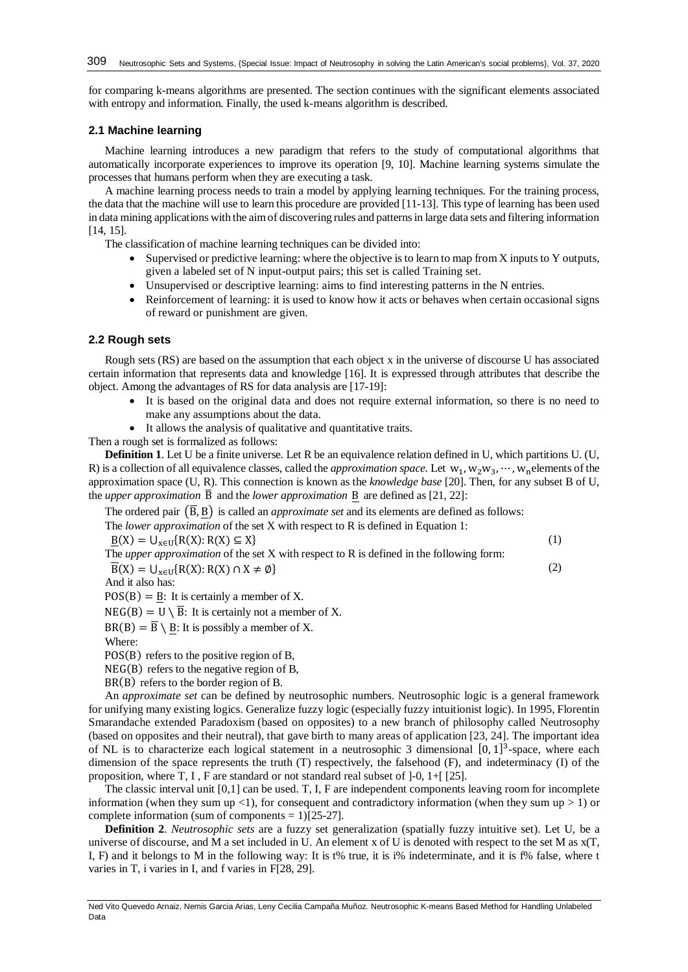for comparing k-means algorithms are presented. The section continues with the significant elements associated with entropy and information. Finally, the used k-means algorithm is described.

# **2.1 Machine learning**

Machine learning introduces a new paradigm that refers to the study of computational algorithms that automatically incorporate experiences to improve its operation [\[9,](#page-6-6) [10\]](#page-6-7). Machine learning systems simulate the processes that humans perform when they are executing a task.

A machine learning process needs to train a model by applying learning techniques. For the training process, the data that the machine will use to learn this procedure are provided [\[11-13\]](#page-6-8). This type of learning has been used in data mining applications with the aim of discovering rules and patterns in large data sets and filtering information [\[14,](#page-6-9) [15\]](#page-6-10).

The classification of machine learning techniques can be divided into:

- Supervised or predictive learning: where the objective is to learn to map from X inputs to Y outputs, given a labeled set of N input-output pairs; this set is called Training set.
- Unsupervised or descriptive learning: aims to find interesting patterns in the N entries.
- Reinforcement of learning: it is used to know how it acts or behaves when certain occasional signs of reward or punishment are given.

# **2.2 Rough sets**

Rough sets (RS) are based on the assumption that each object x in the universe of discourse U has associated certain information that represents data and knowledge [\[16\]](#page-6-11). It is expressed through attributes that describe the object. Among the advantages of RS for data analysis are [\[17-19\]](#page-6-12):

- It is based on the original data and does not require external information, so there is no need to make any assumptions about the data.
- It allows the analysis of qualitative and quantitative traits.

Then a rough set is formalized as follows:

**Definition 1**. Let U be a finite universe. Let R be an equivalence relation defined in U, which partitions U. (U, R) is a collection of all equivalence classes, called the *approximation space*. Let  $w_1, w_2w_3, \dots, w_n$  elements of the approximation space (U, R). This connection is known as the *knowledge base* [\[20\]](#page-6-13). Then, for any subset B of U, the *upper approximation*  $\overline{B}$  and the *lower approximation* B are defined as [\[21,](#page-6-14) [22\]](#page-6-15):

The ordered pair  $(\overline{B}, B)$  is called an *approximate set* and its elements are defined as follows:

The *lower approximation* of the set X with respect to R is defined in Equation 1:

 $\underline{B}(X) = U_{x \in U} \{R(X): R(X) \subseteq X\}$  (1) The *upper approximation* of the set X with respect to R is defined in the following form:  $\overline{B}(X) = U_{x \in U} \{R(X): R(X) \cap X \neq \emptyset\}$  (2)

And it also has:

 $POS(B) = B$ : It is certainly a member of X.

 $NEG(B) = U \setminus \overline{B}$ : It is certainly not a member of X.

 $BR(B) = \overline{B} \setminus B$ : It is possibly a member of X.

Where:

POS(B) refers to the positive region of B,

NEG(B) refers to the negative region of B,

BR(B) refers to the border region of B.

An *approximate set* can be defined by neutrosophic numbers. Neutrosophic logic is a general framework for unifying many existing logics. Generalize fuzzy logic (especially fuzzy intuitionist logic). In 1995, Florentin Smarandache extended Paradoxism (based on opposites) to a new branch of philosophy called Neutrosophy (based on opposites and their neutral), that gave birth to many areas of application [\[23,](#page-6-16) [24\]](#page-6-17). The important idea of NL is to characterize each logical statement in a neutrosophic 3 dimensional [0, 1]<sup>3</sup>-space, where each dimension of the space represents the truth (T) respectively, the falsehood (F), and indeterminacy (I) of the proposition, where T, I , F are standard or not standard real subset of ]-0, 1+[ [\[25\]](#page-6-18).

The classic interval unit [0,1] can be used. T, I, F are independent components leaving room for incomplete information (when they sum up  $\langle 1 \rangle$ , for consequent and contradictory information (when they sum up  $> 1$ ) or complete information (sum of components  $= 1$ )[\[25-27\]](#page-6-18).

**Definition 2**. *Neutrosophic sets* are a fuzzy set generalization (spatially fuzzy intuitive set). Let U, be a universe of discourse, and M a set included in U. An element x of U is denoted with respect to the set M as x(T, I, F) and it belongs to M in the following way: It is t% true, it is i% indeterminate, and it is f% false, where t varies in T, i varies in I, and f varies in F[\[28,](#page-7-0) [29\]](#page-7-1).

Ned Vito Quevedo Arnaiz, Nemis Garcia Arias, Leny Cecilia Campaña Muñoz. Neutrosophic K-means Based Method for Handling Unlabeled Data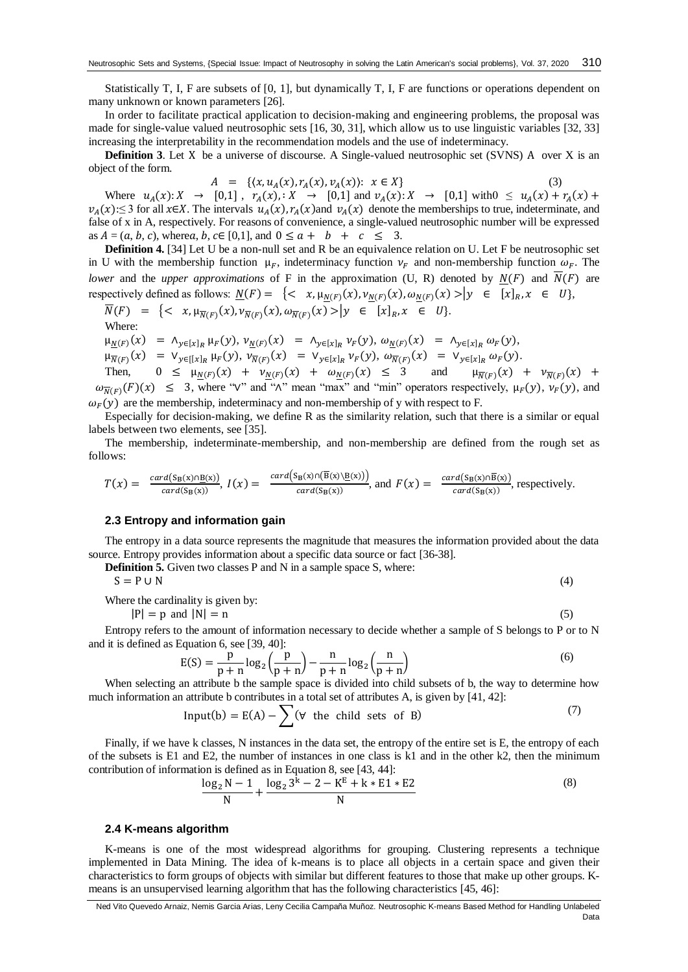Statistically T, I, F are subsets of [0, 1], but dynamically T, I, F are functions or operations dependent on many unknown or known parameters [\[26\]](#page-7-2).

In order to facilitate practical application to decision-making and engineering problems, the proposal was made for single-value valued neutrosophic sets [\[16,](#page-6-11) [30,](#page-7-3) [31\]](#page-7-4), which allow us to use linguistic variables [\[32,](#page-7-5) [33\]](#page-7-6) increasing the interpretability in the recommendation models and the use of indeterminacy.

**Definition 3**. Let X be a universe of discourse. A Single-valued neutrosophic set (SVNS) A over X is an object of the form.

 $A = \{(x, u_A(x), r_A(x), v_A(x)) : x \in X\}$  (3) Where  $u_A(x): X \to [0,1]$ ,  $r_A(x): X \to [0,1]$  and  $v_A(x): X \to [0,1]$  with $0 \le u_A(x) + r_A(x) + r_A(x)$  $v_A(x)$ :≤ 3 for all x∈X. The intervals  $u_A(x)$ ,  $r_A(x)$  and  $v_A(x)$  denote the memberships to true, indeterminate, and false of x in A, respectively. For reasons of convenience, a single-valued neutrosophic number will be expressed as  $A = (a, b, c)$ , wherea, b,  $c \in [0, 1]$ , and  $0 \le a + b + c \le 3$ .

**Definition 4.** [\[34\]](#page-7-7) Let U be a non-null set and R be an equivalence relation on U. Let F be neutrosophic set in U with the membership function  $\mu_F$ , indeterminacy function  $\nu_F$  and non-membership function  $\omega_F$ . The *lower* and the *upper approximations* of F in the approximation (U, R) denoted by  $N(F)$  and  $\overline{N}(F)$  are respectively defined as follows:  $\underline{N}(F) = \{ \langle x, \mu_{\underline{N}(F)}(x), \nu_{\underline{N}(F)}(x), \omega_{\underline{N}(F)}(x) \rangle | y \in [x]_R, x \in U \}$ ,

$$
\overline{N}(F) = \{ \langle x, \mu_{\overline{N}(F)}(x), \nu_{\overline{N}(F)}(x), \omega_{\overline{N}(F)}(x) \rangle | y \in [x]_R, x \in U \}.
$$
  
Where:

 $\mu_{\underline{N}(F)}(x) = \Lambda_{y \in [x]_R} \mu_F(y), \nu_{\underline{N}(F)}(x) = \Lambda_{y \in [x]_R} \nu_F(y), \omega_{\underline{N}(F)}(x) = \Lambda_{y \in [x]_R} \omega_F(y),$ 

$$
\mu_{\overline{N}(F)}(x) = V_{y \in [[x]_R]} \mu_F(y), \nu_{\overline{N}(F)}(x) = V_{y \in [x]_R} \nu_F(y), \omega_{\overline{N}(F)}(x) = V_{y \in [x]_R} \omega_F(y).
$$

Then,  $0 \leq \mu_{\underline{N}(F)}(x) + \nu_{\underline{N}(F)}(x) + \omega_{\underline{N}(F)}(x) \leq 3$  and  $\mu_{\overline{N}(F)}(x) + \nu_{\overline{N}(F)}(x) +$  $\omega_{\overline{N}(F)}(F)(x) \leq 3$ , where "∨" and "∧" mean "max" and "min" operators respectively,  $\mu_F(y)$ ,  $\nu_F(y)$ , and  $\omega_F(y)$  are the membership, indeterminacy and non-membership of y with respect to F.

Especially for decision-making, we define R as the similarity relation, such that there is a similar or equal labels between two elements, see [\[35\]](#page-7-8).

The membership, indeterminate-membership, and non-membership are defined from the rough set as follows:

$$
T(x) = \frac{card(s_B(x) \cap B(x))}{card(s_B(x))}, I(x) = \frac{card(s_B(x) \cap (\overline{B}(x) \setminus B(x)))}{card(s_B(x))}, \text{ and } F(x) = \frac{card(s_B(x) \cap \overline{B}(x))}{card(s_B(x))}, \text{ respectively.}
$$

## **2.3 Entropy and information gain**

The entropy in a data source represents the magnitude that measures the information provided about the data source. Entropy provides information about a specific data source or fact [\[36-38\]](#page-7-9).

**Definition 5.** Given two classes P and N in a sample space S, where:

 $S = P \cup N$  (4)

Where the cardinality is given by:

$$
|P| = p \text{ and } |N| = n \tag{5}
$$

Entropy refers to the amount of information necessary to decide whether a sample of S belongs to P or to N and it is defined as Equation 6, see [\[39,](#page-7-10) [40\]](#page-7-11):

$$
E(S) = \frac{p}{p+n} \log_2\left(\frac{p}{p+n}\right) - \frac{n}{p+n} \log_2\left(\frac{n}{p+n}\right)
$$
\n<sup>(6)</sup>

When selecting an attribute b the sample space is divided into child subsets of b, the way to determine how much information an attribute b contributes in a total set of attributes A, is given by [\[41,](#page-7-12) [42\]](#page-7-13):

Input(b) = E(A) - 
$$
\sum
$$
 ( $\forall$  the child sets of B) (7)

Finally, if we have k classes, N instances in the data set, the entropy of the entire set is E, the entropy of each of the subsets is E1 and E2, the number of instances in one class is k1 and in the other k2, then the minimum contribution of information is defined as in Equation 8, see [\[43,](#page-7-14) [44\]](#page-7-15):

$$
\frac{\log_2 N - 1}{N} + \frac{\log_2 3^k - 2 - K^E + k * E1 * E2}{N}
$$
(8)

#### **2.4 K-means algorithm**

K-means is one of the most widespread algorithms for grouping. Clustering represents a technique implemented in Data Mining. The idea of k-means is to place all objects in a certain space and given their characteristics to form groups of objects with similar but different features to those that make up other groups. Kmeans is an unsupervised learning algorithm that has the following characteristics [\[45,](#page-7-16) [46\]](#page-7-17):

Ned Vito Quevedo Arnaiz, Nemis Garcia Arias, Leny Cecilia Campaña Muñoz. Neutrosophic K-means Based Method for Handling Unlabeled Data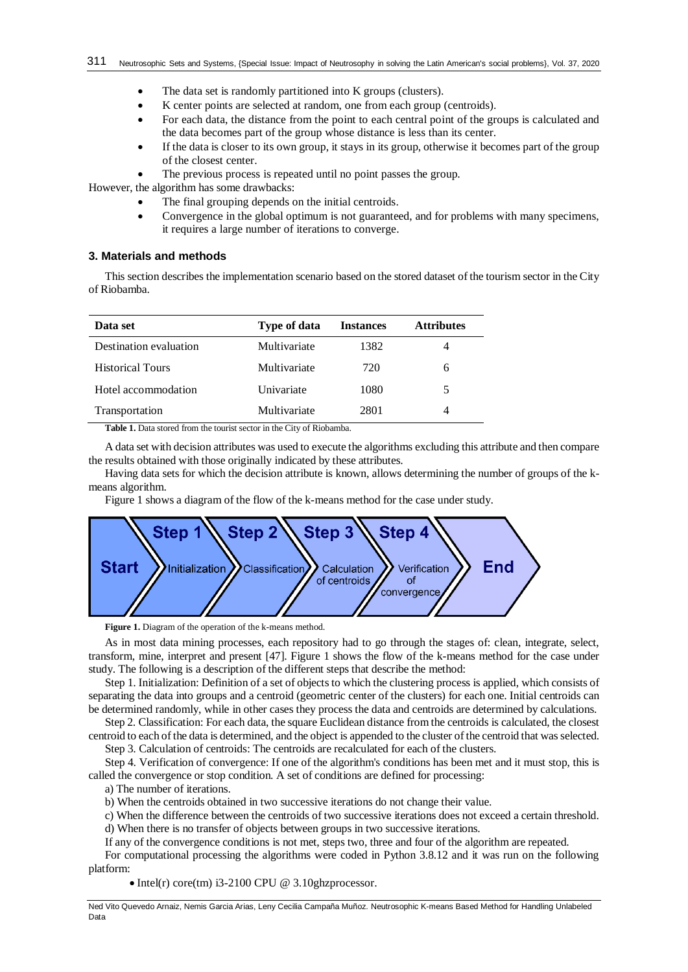- The data set is randomly partitioned into K groups (clusters).
- K center points are selected at random, one from each group (centroids).
- For each data, the distance from the point to each central point of the groups is calculated and the data becomes part of the group whose distance is less than its center.
- If the data is closer to its own group, it stays in its group, otherwise it becomes part of the group of the closest center.
- The previous process is repeated until no point passes the group.

However, the algorithm has some drawbacks:

- The final grouping depends on the initial centroids.
- Convergence in the global optimum is not guaranteed, and for problems with many specimens, it requires a large number of iterations to converge.

## **3. Materials and methods**

This section describes the implementation scenario based on the stored dataset of the tourism sector in the City of Riobamba.

| Data set                | <b>Type of data</b> | <b>Instances</b> | <b>Attributes</b> |
|-------------------------|---------------------|------------------|-------------------|
| Destination evaluation  | Multivariate        | 1382             | 4                 |
| <b>Historical Tours</b> | Multivariate        | 720              | 6                 |
| Hotel accommodation     | Univariate          | 1080             | 5.                |
| Transportation          | Multivariate        | 2801             | 4                 |

**Table 1.** Data stored from the tourist sector in the City of Riobamba.

A data set with decision attributes was used to execute the algorithms excluding this attribute and then compare the results obtained with those originally indicated by these attributes.

Having data sets for which the decision attribute is known, allows determining the number of groups of the kmeans algorithm.

Figure 1 shows a diagram of the flow of the k-means method for the case under study.



**Figure 1.** Diagram of the operation of the k-means method.

As in most data mining processes, each repository had to go through the stages of: clean, integrate, select, transform, mine, interpret and present [\[47\]](#page-7-18). Figure 1 shows the flow of the k-means method for the case under study. The following is a description of the different steps that describe the method:

Step 1. Initialization: Definition of a set of objects to which the clustering process is applied, which consists of separating the data into groups and a centroid (geometric center of the clusters) for each one. Initial centroids can be determined randomly, while in other cases they process the data and centroids are determined by calculations.

Step 2. Classification: For each data, the square Euclidean distance from the centroids is calculated, the closest centroid to each of the data is determined, and the object is appended to the cluster of the centroid that was selected.

Step 3. Calculation of centroids: The centroids are recalculated for each of the clusters.

Step 4. Verification of convergence: If one of the algorithm's conditions has been met and it must stop, this is called the convergence or stop condition. A set of conditions are defined for processing:

a) The number of iterations.

b) When the centroids obtained in two successive iterations do not change their value.

c) When the difference between the centroids of two successive iterations does not exceed a certain threshold.

d) When there is no transfer of objects between groups in two successive iterations.

If any of the convergence conditions is not met, steps two, three and four of the algorithm are repeated.

For computational processing the algorithms were coded in Python 3.8.12 and it was run on the following platform:

 $\bullet$  Intel(r) core(tm) i3-2100 CPU @ 3.10ghzprocessor.

Ned Vito Quevedo Arnaiz, Nemis Garcia Arias, Leny Cecilia Campaña Muñoz. Neutrosophic K-means Based Method for Handling Unlabeled Data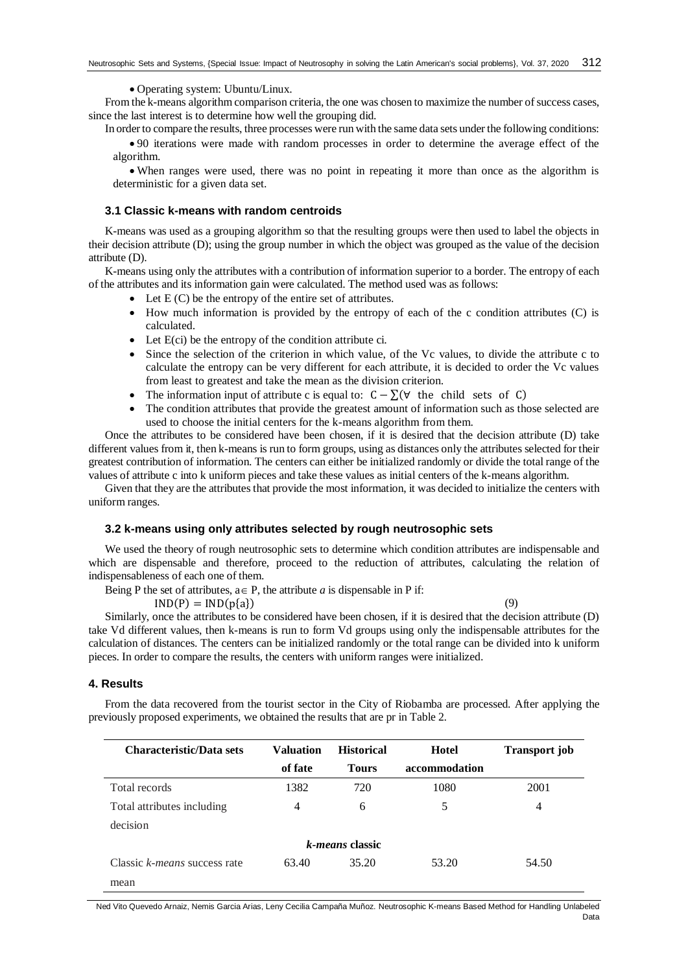• Operating system: Ubuntu/Linux.

From the k-means algorithm comparison criteria, the one was chosen to maximize the number of success cases, since the last interest is to determine how well the grouping did.

In order to compare the results, three processes were run with the same data sets under the following conditions:

 90 iterations were made with random processes in order to determine the average effect of the algorithm.

 When ranges were used, there was no point in repeating it more than once as the algorithm is deterministic for a given data set.

# **3.1 Classic k-means with random centroids**

K-means was used as a grouping algorithm so that the resulting groups were then used to label the objects in their decision attribute (D); using the group number in which the object was grouped as the value of the decision attribute (D).

K-means using only the attributes with a contribution of information superior to a border. The entropy of each of the attributes and its information gain were calculated. The method used was as follows:

- Let  $E(C)$  be the entropy of the entire set of attributes.
- $\bullet$  How much information is provided by the entropy of each of the c condition attributes (C) is calculated.
- $\bullet$  Let  $E(ci)$  be the entropy of the condition attribute ci.
- Since the selection of the criterion in which value, of the Vc values, to divide the attribute c to calculate the entropy can be very different for each attribute, it is decided to order the Vc values from least to greatest and take the mean as the division criterion.
- The information input of attribute c is equal to:  $C \sum (\forall$  the child sets of C)
- The condition attributes that provide the greatest amount of information such as those selected are used to choose the initial centers for the k-means algorithm from them.

Once the attributes to be considered have been chosen, if it is desired that the decision attribute (D) take different values from it, then k-means is run to form groups, using as distances only the attributes selected for their greatest contribution of information. The centers can either be initialized randomly or divide the total range of the values of attribute c into k uniform pieces and take these values as initial centers of the k-means algorithm.

Given that they are the attributes that provide the most information, it was decided to initialize the centers with uniform ranges.

## **3.2 k-means using only attributes selected by rough neutrosophic sets**

We used the theory of rough neutrosophic sets to determine which condition attributes are indispensable and which are dispensable and therefore, proceed to the reduction of attributes, calculating the relation of indispensableness of each one of them.

Being P the set of attributes,  $a \in P$ , the attribute *a* is dispensable in P if:

 $IND(P) = IND(p{a})$  (9)

Similarly, once the attributes to be considered have been chosen, if it is desired that the decision attribute (D) take Vd different values, then k-means is run to form Vd groups using only the indispensable attributes for the calculation of distances. The centers can be initialized randomly or the total range can be divided into k uniform pieces. In order to compare the results, the centers with uniform ranges were initialized.

## **4. Results**

From the data recovered from the tourist sector in the City of Riobamba are processed. After applying the previously proposed experiments, we obtained the results that are pr in Table 2.

| <b>Characteristic/Data sets</b> | <b>Valuation</b> | <b>Historical</b> | Hotel         | <b>Transport job</b> |  |  |  |
|---------------------------------|------------------|-------------------|---------------|----------------------|--|--|--|
|                                 | of fate          | <b>Tours</b>      | accommodation |                      |  |  |  |
| Total records                   | 1382             | 720               | 1080          | 2001                 |  |  |  |
| Total attributes including      | 4                | 6                 | 5             | 4                    |  |  |  |
| decision                        |                  |                   |               |                      |  |  |  |
| <i>k-means</i> classic          |                  |                   |               |                      |  |  |  |
| Classic k-means success rate    | 63.40            | 35.20             | 53.20         | 54.50                |  |  |  |
| mean                            |                  |                   |               |                      |  |  |  |

Ned Vito Quevedo Arnaiz, Nemis Garcia Arias, Leny Cecilia Campaña Muñoz. Neutrosophic K-means Based Method for Handling Unlabeled Data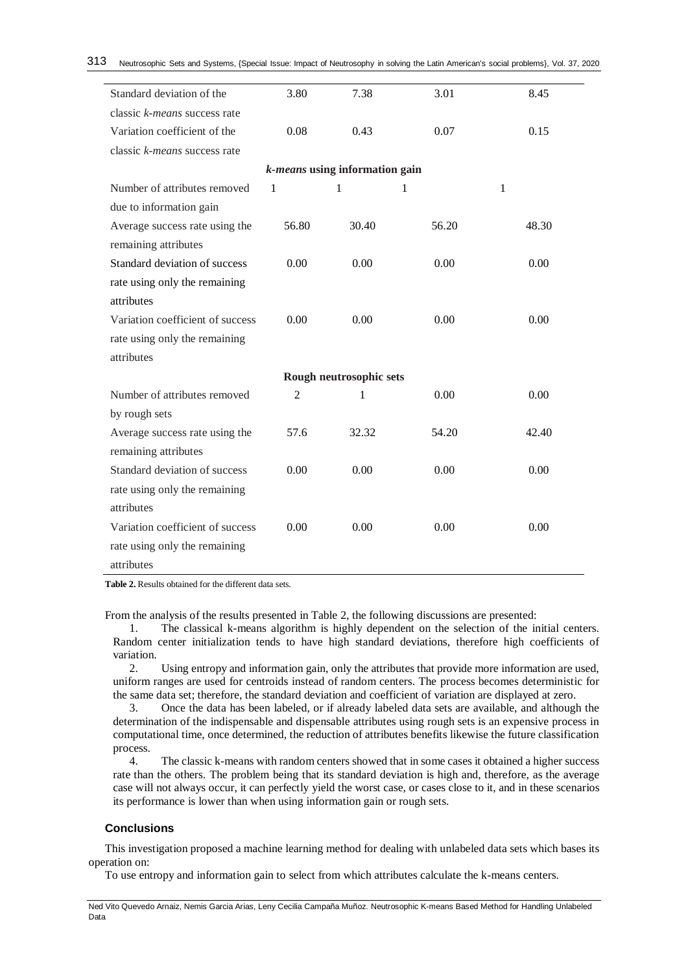| Standard deviation of the        | 3.80           | 7.38  | 3.01  | 8.45  |  |  |  |  |
|----------------------------------|----------------|-------|-------|-------|--|--|--|--|
| classic k-means success rate     |                |       |       |       |  |  |  |  |
| Variation coefficient of the     | 0.08           | 0.43  | 0.07  | 0.15  |  |  |  |  |
| classic k-means success rate     |                |       |       |       |  |  |  |  |
| k-means using information gain   |                |       |       |       |  |  |  |  |
| Number of attributes removed     | 1              | 1     | 1     | 1     |  |  |  |  |
| due to information gain          |                |       |       |       |  |  |  |  |
| Average success rate using the   | 56.80          | 30.40 | 56.20 | 48.30 |  |  |  |  |
| remaining attributes             |                |       |       |       |  |  |  |  |
| Standard deviation of success    | 0.00           | 0.00  | 0.00  | 0.00  |  |  |  |  |
| rate using only the remaining    |                |       |       |       |  |  |  |  |
| attributes                       |                |       |       |       |  |  |  |  |
| Variation coefficient of success | 0.00           | 0.00  | 0.00  | 0.00  |  |  |  |  |
| rate using only the remaining    |                |       |       |       |  |  |  |  |
| attributes                       |                |       |       |       |  |  |  |  |
| Rough neutrosophic sets          |                |       |       |       |  |  |  |  |
| Number of attributes removed     | $\mathfrak{2}$ | 1     | 0.00  | 0.00  |  |  |  |  |
| by rough sets                    |                |       |       |       |  |  |  |  |
| Average success rate using the   | 57.6           | 32.32 | 54.20 | 42.40 |  |  |  |  |
| remaining attributes             |                |       |       |       |  |  |  |  |
| Standard deviation of success    | 0.00           | 0.00  | 0.00  | 0.00  |  |  |  |  |
| rate using only the remaining    |                |       |       |       |  |  |  |  |
| attributes                       |                |       |       |       |  |  |  |  |
| Variation coefficient of success | 0.00           | 0.00  | 0.00  | 0.00  |  |  |  |  |
| rate using only the remaining    |                |       |       |       |  |  |  |  |
| attributes                       |                |       |       |       |  |  |  |  |

**Table 2.** Results obtained for the different data sets.

From the analysis of the results presented in Table 2, the following discussions are presented:

1. The classical k-means algorithm is highly dependent on the selection of the initial centers. Random center initialization tends to have high standard deviations, therefore high coefficients of variation.

2. Using entropy and information gain, only the attributes that provide more information are used, uniform ranges are used for centroids instead of random centers. The process becomes deterministic for the same data set; therefore, the standard deviation and coefficient of variation are displayed at zero.

3. Once the data has been labeled, or if already labeled data sets are available, and although the determination of the indispensable and dispensable attributes using rough sets is an expensive process in computational time, once determined, the reduction of attributes benefits likewise the future classification process.

4. The classic k-means with random centers showed that in some cases it obtained a higher success rate than the others. The problem being that its standard deviation is high and, therefore, as the average case will not always occur, it can perfectly yield the worst case, or cases close to it, and in these scenarios its performance is lower than when using information gain or rough sets.

# **Conclusions**

This investigation proposed a machine learning method for dealing with unlabeled data sets which bases its operation on:

To use entropy and information gain to select from which attributes calculate the k-means centers.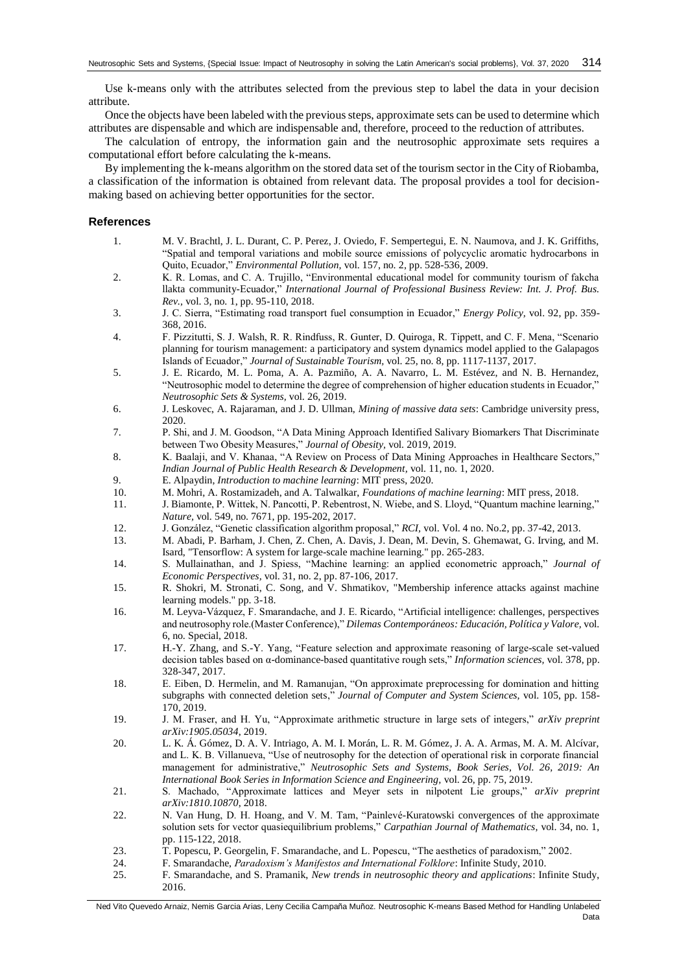Use k-means only with the attributes selected from the previous step to label the data in your decision attribute.

Once the objects have been labeled with the previous steps, approximate sets can be used to determine which attributes are dispensable and which are indispensable and, therefore, proceed to the reduction of attributes.

The calculation of entropy, the information gain and the neutrosophic approximate sets requires a computational effort before calculating the k-means.

By implementing the k-means algorithm on the stored data set of the tourism sector in the City of Riobamba, a classification of the information is obtained from relevant data. The proposal provides a tool for decisionmaking based on achieving better opportunities for the sector.

# **References**

- <span id="page-6-0"></span>1. M. V. Brachtl, J. L. Durant, C. P. Perez, J. Oviedo, F. Sempertegui, E. N. Naumova, and J. K. Griffiths, "Spatial and temporal variations and mobile source emissions of polycyclic aromatic hydrocarbons in Quito, Ecuador," *Environmental Pollution,* vol. 157, no. 2, pp. 528-536, 2009.
- <span id="page-6-1"></span>2. K. R. Lomas, and C. A. Trujillo, "Environmental educational model for community tourism of fakcha llakta community-Ecuador," *International Journal of Professional Business Review: Int. J. Prof. Bus. Rev.,* vol. 3, no. 1, pp. 95-110, 2018.
- <span id="page-6-2"></span>3. J. C. Sierra, "Estimating road transport fuel consumption in Ecuador," *Energy Policy,* vol. 92, pp. 359- 368, 2016.
- <span id="page-6-3"></span>4. F. Pizzitutti, S. J. Walsh, R. R. Rindfuss, R. Gunter, D. Quiroga, R. Tippett, and C. F. Mena, "Scenario planning for tourism management: a participatory and system dynamics model applied to the Galapagos Islands of Ecuador," *Journal of Sustainable Tourism,* vol. 25, no. 8, pp. 1117-1137, 2017.
- <span id="page-6-4"></span>5. J. E. Ricardo, M. L. Poma, A. A. Pazmiño, A. A. Navarro, L. M. Estévez, and N. B. Hernandez, "Neutrosophic model to determine the degree of comprehension of higher education students in Ecuador," *Neutrosophic Sets & Systems,* vol. 26, 2019.
- <span id="page-6-5"></span>6. J. Leskovec, A. Rajaraman, and J. D. Ullman, *Mining of massive data sets*: Cambridge university press, 2020.
- 7. P. Shi, and J. M. Goodson, "A Data Mining Approach Identified Salivary Biomarkers That Discriminate between Two Obesity Measures," *Journal of Obesity,* vol. 2019, 2019.
- 8. K. Baalaji, and V. Khanaa, "A Review on Process of Data Mining Approaches in Healthcare Sectors," *Indian Journal of Public Health Research & Development,* vol. 11, no. 1, 2020.
- <span id="page-6-6"></span>9. E. Alpaydin, *Introduction to machine learning*: MIT press, 2020.
- <span id="page-6-7"></span>10. M. Mohri, A. Rostamizadeh, and A. Talwalkar, *Foundations of machine learning*: MIT press, 2018.
- <span id="page-6-8"></span>11. J. Biamonte, P. Wittek, N. Pancotti, P. Rebentrost, N. Wiebe, and S. Lloyd, "Quantum machine learning," *Nature,* vol. 549, no. 7671, pp. 195-202, 2017.
- 12. J. González, "Genetic classification algorithm proposal," *RCI,* vol. Vol. 4 no. No.2, pp. 37-42, 2013.
- 13. M. Abadi, P. Barham, J. Chen, Z. Chen, A. Davis, J. Dean, M. Devin, S. Ghemawat, G. Irving, and M. Isard, "Tensorflow: A system for large-scale machine learning." pp. 265-283.
- <span id="page-6-9"></span>14. S. Mullainathan, and J. Spiess, "Machine learning: an applied econometric approach," *Journal of Economic Perspectives,* vol. 31, no. 2, pp. 87-106, 2017.
- <span id="page-6-10"></span>15. R. Shokri, M. Stronati, C. Song, and V. Shmatikov, "Membership inference attacks against machine learning models." pp. 3-18.
- <span id="page-6-11"></span>16. M. Leyva-Vázquez, F. Smarandache, and J. E. Ricardo, "Artificial intelligence: challenges, perspectives and neutrosophy role.(Master Conference)," *Dilemas Contemporáneos: Educación, Política y Valore,* vol. 6, no. Special, 2018.
- <span id="page-6-12"></span>17. H.-Y. Zhang, and S.-Y. Yang, "Feature selection and approximate reasoning of large-scale set-valued decision tables based on α-dominance-based quantitative rough sets," *Information sciences,* vol. 378, pp. 328-347, 2017.
- 18. E. Eiben, D. Hermelin, and M. Ramanujan, "On approximate preprocessing for domination and hitting subgraphs with connected deletion sets," *Journal of Computer and System Sciences,* vol. 105, pp. 158- 170, 2019.
- 19. J. M. Fraser, and H. Yu, "Approximate arithmetic structure in large sets of integers," *arXiv preprint arXiv:1905.05034*, 2019.
- <span id="page-6-13"></span>20. L. K. Á. Gómez, D. A. V. Intriago, A. M. I. Morán, L. R. M. Gómez, J. A. A. Armas, M. A. M. Alcívar, and L. K. B. Villanueva, "Use of neutrosophy for the detection of operational risk in corporate financial management for administrative," *Neutrosophic Sets and Systems, Book Series, Vol. 26, 2019: An International Book Series in Information Science and Engineering,* vol. 26, pp. 75, 2019.
- <span id="page-6-14"></span>21. S. Machado, "Approximate lattices and Meyer sets in nilpotent Lie groups," *arXiv preprint arXiv:1810.10870*, 2018.
- <span id="page-6-15"></span>22. N. Van Hung, D. H. Hoang, and V. M. Tam, "Painlevé-Kuratowski convergences of the approximate solution sets for vector quasiequilibrium problems," *Carpathian Journal of Mathematics,* vol. 34, no. 1, pp. 115-122, 2018.
- <span id="page-6-16"></span>23. T. Popescu, P. Georgelin, F. Smarandache, and L. Popescu, "The aesthetics of paradoxism," 2002.
- <span id="page-6-17"></span>24. F. Smarandache, *Paradoxism's Manifestos and International Folklore*: Infinite Study, 2010.
- <span id="page-6-18"></span>25. F. Smarandache, and S. Pramanik, *New trends in neutrosophic theory and applications*: Infinite Study, 2016.